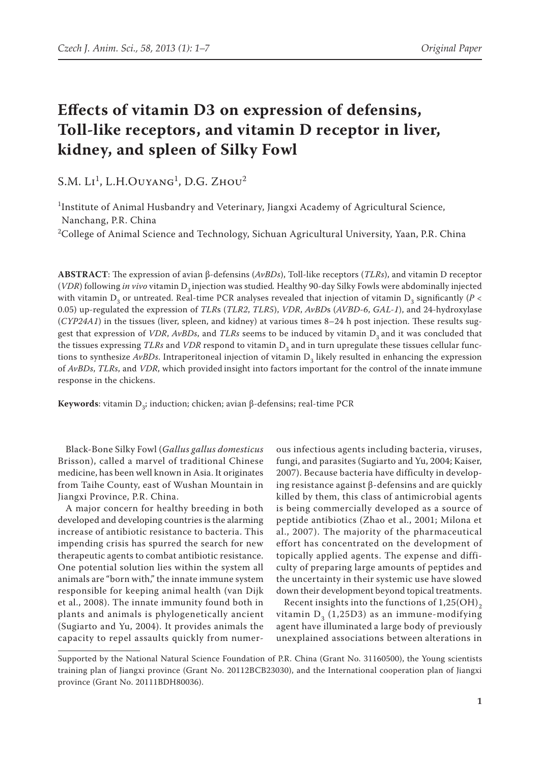# **Effects of vitamin D3 on expression of defensins, Toll-like receptors, and vitamin D receptor in liver, kidney, and spleen of Silky Fowl**

 $S.M. L<sup>1</sup>$ , L.H.Ouyang<sup>1</sup>, D.G. Zhou<sup>2</sup>

<sup>1</sup>Institute of Animal Husbandry and Veterinary, Jiangxi Academy of Agricultural Science, Nanchang, P.R. China

 $^2$ College of Animal Science and Technology, Sichuan Agricultural University, Yaan, P.R. China

**ABSTRACT**: The expression of avian β-defensins (*AvBDs*), Toll-like receptors (*TLRs*), and vitamin D receptor (*VDR*) following *in vivo* vitamin D<sub>2</sub> injection was studied. Healthy 90-day Silky Fowls were abdominally injected with vitamin  $D_3$  or untreated. Real-time PCR analyses revealed that injection of vitamin  $D_3$  significantly ( $P <$ 0.05) up-regulated the expression of *TLR*s (*TLR2*, *TLR5*), *VDR*, *AvBD*s (*AVBD-6*, *GAL-1*), and 24-hydroxylase (*CYP24A1*) in the tissues (liver, spleen, and kidney) at various times 8–24 h post injection. These results suggest that expression of *VDR*, *AvBDs*, and *TLRs* seems to be induced by vitamin D<sub>3</sub> and it was concluded that the tissues expressing *TLRs* and *VDR* respond to vitamin D<sub>3</sub> and in turn upregulate these tissues cellular functions to synthesize  $AvBDs$ . Intraperitoneal injection of vitamin  $D<sub>3</sub>$  likely resulted in enhancing the expression of *AvBDs*, *TLRs*, and *VDR*, which provided insight into factors important for the control of the innate immune response in the chickens.

**Keywords**: vitamin  $D_3$ ; induction; chicken; avian β-defensins; real-time PCR

Black-Bone Silky Fowl (*Gallus gallus domesticus*  Brisson), called a marvel of traditional Chinese medicine, has been well known in Asia. It originates from Taihe County, east of Wushan Mountain in Jiangxi Province, P.R. China.

A major concern for healthy breeding in both developed and developing countries is the alarming increase of antibiotic resistance to bacteria. This impending crisis has spurred the search for new therapeutic agents to combat antibiotic resistance. One potential solution lies within the system all animals are "born with," the innate immune system responsible for keeping animal health (van Dijk et al., 2008). The innate immunity found both in plants and animals is phylogenetically ancient (Sugiarto and Yu, 2004). It provides animals the capacity to repel assaults quickly from numer-

ous infectious agents including bacteria, viruses, fungi, and parasites (Sugiarto and Yu, 2004; Kaiser, 2007). Because bacteria have difficulty in developing resistance against β-defensins and are quickly killed by them, this class of antimicrobial agents is being commercially developed as a source of peptide antibiotics (Zhao et al., 2001; Milona et al., 2007). The majority of the pharmaceutical effort has concentrated on the development of topically applied agents. The expense and difficulty of preparing large amounts of peptides and the uncertainty in their systemic use have slowed down their development beyond topical treatments.

Recent insights into the functions of  $1,25(OH)$ <sub>2</sub> vitamin  $D_3$  (1,25D3) as an immune-modifying agent have illuminated a large body of previously unexplained associations between alterations in

Supported by the National Natural Science Foundation of P.R. China (Grant No. 31160500), the Young scientists training plan of Jiangxi province (Grant No. 20112BCB23030), and the International cooperation plan of Jiangxi province (Grant No. 20111BDH80036).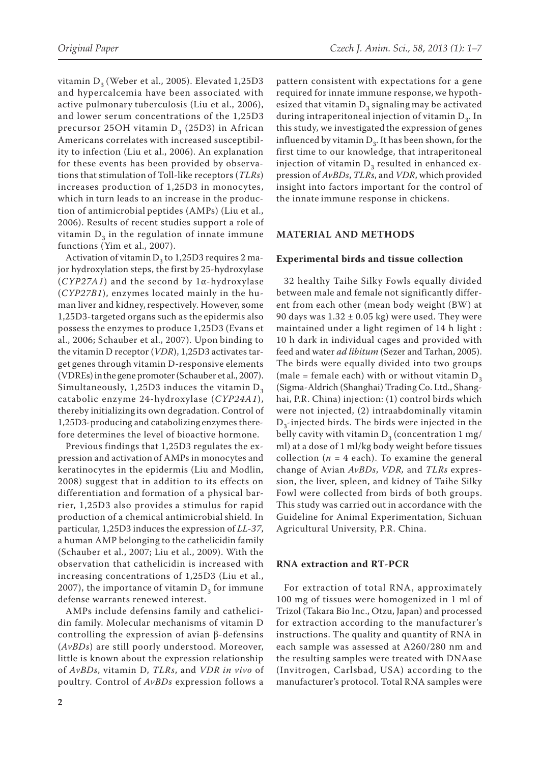vitamin  $D_3$  (Weber et al., 2005). Elevated 1,25D3 and hypercalcemia have been associated with active pulmonary tuberculosis (Liu et al., 2006), and lower serum concentrations of the 1,25D3 precursor 25OH vitamin  $D_3$  (25D3) in African Americans correlates with increased susceptibility to infection (Liu et al., 2006). An explanation for these events has been provided by observations that stimulation of Toll-like receptors (*TLRs*) increases production of 1,25D3 in monocytes, which in turn leads to an increase in the production of antimicrobial peptides (AMPs) (Liu et al., 2006). Results of recent studies support a role of vitamin  $D<sub>3</sub>$  in the regulation of innate immune functions (Yim et al., 2007).

Activation of vitamin  $D_3$  to 1,25D3 requires 2 major hydroxylation steps, the first by 25-hydroxylase (*CYP27A1*) and the second by 1α-hydroxylase (*CYP27B1*), enzymes located mainly in the human liver and kidney, respectively. However, some 1,25D3-targeted organs such as the epidermis also possess the enzymes to produce 1,25D3 (Evans et al., 2006; Schauber et al., 2007). Upon binding to the vitamin D receptor (*VDR*), 1,25D3 activates target genes through vitamin D-responsive elements (VDREs) inthe gene promoter (Schauber et al., 2007). Simultaneously, 1,25D3 induces the vitamin  $D_3$ catabolic enzyme 24-hydroxylase (*CYP24A1*), thereby initializing its own degradation. Control of 1,25D3-producing and catabolizing enzymes therefore determines the level of bioactive hormone.

Previous findings that 1,25D3 regulates the expression and activation of AMPs in monocytes and keratinocytes in the epidermis (Liu and Modlin, 2008) suggest that in addition to its effects on differentiation and formation of a physical barrier, 1,25D3 also provides a stimulus for rapid production of a chemical antimicrobial shield. In particular, 1,25D3 induces the expression of *LL-37*, a human AMP belonging to the cathelicidin family (Schauber et al., 2007; Liu et al., 2009). With the observation that cathelicidin is increased with increasing concentrations of 1,25D3 (Liu et al., 2007), the importance of vitamin  $D_3$  for immune defense warrants renewed interest.

AMPs include defensins family and cathelicidin family. Molecular mechanisms of vitamin D controlling the expression of avian β-defensins (*AvBDs*) are still poorly understood. Moreover, little is known about the expression relationship of *AvBDs*, vitamin D, *TLRs*, and *VDR in vivo* of poultry. Control of *AvBDs* expression follows a

pattern consistent with expectations for a gene required for innate immune response, we hypothesized that vitamin  $D<sub>3</sub>$  signaling may be activated during intraperitoneal injection of vitamin  $D<sub>2</sub>$ . In this study, we investigated the expression of genes influenced by vitamin  $D_3$ . It has been shown, for the first time to our knowledge, that intraperitoneal injection of vitamin  $D<sub>3</sub>$  resulted in enhanced expression of *AvBDs*, *TLRs*, and *VDR*, which provided insight into factors important for the control of the innate immune response in chickens.

## **MATERIAL AND METHODS**

#### **Experimental birds and tissue collection**

32 healthy Taihe Silky Fowls equally divided between male and female not significantly different from each other (mean body weight (BW) at 90 days was  $1.32 \pm 0.05$  kg) were used. They were maintained under a light regimen of 14 h light : 10 h dark in individual cages and provided with feed and water *ad libitum* (Sezer and Tarhan, 2005). The birds were equally divided into two groups (male = female each) with or without vitamin  $D_3$ (Sigma-Aldrich (Shanghai) Trading Co. Ltd., Shanghai, P.R. China) injection: (1) control birds which were not injected, (2) intraabdominally vitamin  $D_2$ -injected birds. The birds were injected in the belly cavity with vitamin  $D_3$  (concentration 1 mg/ ml) at a dose of 1 ml/kg body weight before tissues collection ( $n = 4$  each). To examine the general change of Avian *AvBDs*, *VDR,* and *TLRs* expression, the liver, spleen, and kidney of Taihe Silky Fowl were collected from birds of both groups. This study was carried out in accordance with the Guideline for Animal Experimentation, Sichuan Agricultural University, P.R. China.

## **RNA extraction and RT-PCR**

For extraction of total RNA, approximately 100 mg of tissues were homogenized in 1 ml of Trizol (Takara Bio Inc., Otzu, Japan) and processed for extraction according to the manufacturer's instructions. The quality and quantity of RNA in each sample was assessed at A260/280 nm and the resulting samples were treated with DNAase (Invitrogen, Carlsbad, USA) according to the manufacturer's protocol. Total RNA samples were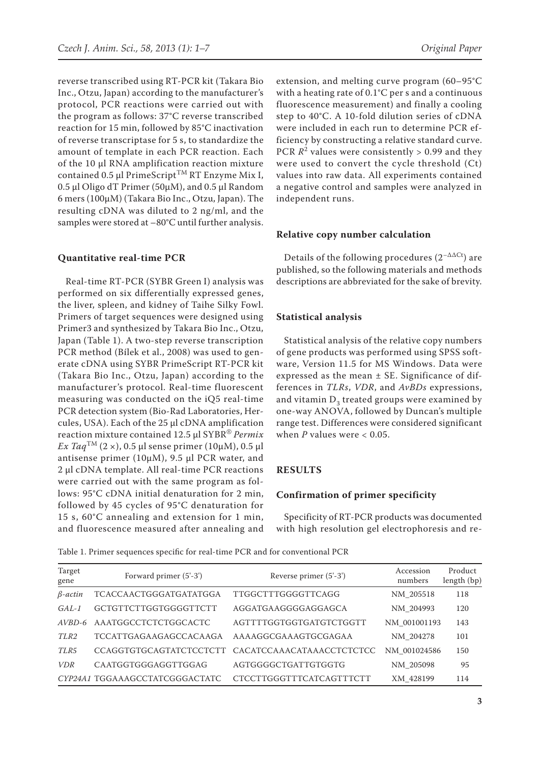reverse transcribed using RT-PCR kit (Takara Bio Inc., Otzu, Japan) according to the manufacturer's protocol, PCR reactions were carried out with the program as follows: 37°C reverse transcribed reaction for 15 min, followed by 85°C inactivation of reverse transcriptase for 5 s, to standardize the amount of template in each PCR reaction. Each of the 10 µl RNA amplification reaction mixture contained 0.5 µl PrimeScript<sup>™</sup> RT Enzyme Mix I,  $0.5$  µl Oligo dT Primer ( $50 \mu M$ ), and  $0.5$  µl Random 6 mers (100µM) (Takara Bio Inc., Otzu, Japan). The resulting cDNA was diluted to 2 ng/ml, and the samples were stored at –80°C until further analysis.

# **Quantitative real-time PCR**

Real-time RT-PCR (SYBR Green I) analysis was performed on six differentially expressed genes, the liver, spleen, and kidney of Taihe Silky Fowl. Primers of target sequences were designed using Primer3 and synthesized by Takara Bio Inc., Otzu, Japan (Table 1). A two-step reverse transcription PCR method (Bílek et al., 2008) was used to generate cDNA using SYBR PrimeScript RT-PCR kit (Takara Bio Inc., Otzu, Japan) according to the manufacturer's protocol. Real-time fluorescent measuring was conducted on the iQ5 real-time PCR detection system (Bio-Rad Laboratories, Hercules, USA). Each of the 25 µl cDNA amplification reaction mixture contained 12.5 µl SYBR® *Permix*   $Ex~Taq^{TM}$  (2 ×), 0.5 µl sense primer (10µM), 0.5 µl antisense primer (10µM), 9.5 µl PCR water, and 2 µl cDNA template. All real-time PCR reactions were carried out with the same program as follows: 95°C cDNA initial denaturation for 2 min, followed by 45 cycles of 95°C denaturation for 15 s, 60°C annealing and extension for 1 min, and fluorescence measured after annealing and

extension, and melting curve program (60–95°C with a heating rate of 0.1°C per s and a continuous fluorescence measurement) and finally a cooling step to 40°C. A 10-fold dilution series of cDNA were included in each run to determine PCR efficiency by constructing a relative standard curve. PCR  $R^2$  values were consistently > 0.99 and they were used to convert the cycle threshold (Ct) values into raw data. All experiments contained a negative control and samples were analyzed in independent runs.

## **Relative copy number calculation**

Details of the following procedures  $(2^{-\Delta\Delta Ct})$  are published, so the following materials and methods descriptions are abbreviated for the sake of brevity.

## **Statistical analysis**

Statistical analysis of the relative copy numbers of gene products was performed using SPSS software, Version 11.5 for MS Windows. Data were expressed as the mean  $\pm$  SE. Significance of differences in *TLRs*, *VDR*, and *AvBDs* expressions, and vitamin  $D_3$  treated groups were examined by one-way ANOVA, followed by Duncan's multiple range test. Differences were considered significant when  $P$  values were  $< 0.05$ .

## **RESULTS**

## **Confirmation of primer specificity**

Specificity of RT-PCR products was documented with high resolution gel electrophoresis and re-

Table 1. Primer sequences specific for real-time PCR and for conventional PCR

| Target<br>gene | Forward primer (5'-3')         | Reverse primer (5'-3')          | Accession<br>numbers | Product<br>length (bp) |
|----------------|--------------------------------|---------------------------------|----------------------|------------------------|
| $\beta$ -actin | TCACCAACTGGGATGATATGGA         | TTGGCTTTGGGGTTCAGG              | NM 205518            | 118                    |
| $GAL-1$        | GCTGTTCTTGGTGGGGTTCTT          | AGGATGAAGGGGAGGAGCA             | NM 204993            | 120                    |
| $AVBD-6$       | AAATGGCCTCTCTGGCACTC           | AGTTTTGGTGGTGATGTCTGGTT         | NM 001001193         | 143                    |
| TLR2           | <b>TCCATTGAGAAGAGCCACAAGA</b>  | AAAAGGCGAAAGTGCGAGAA            | NM 204278            | 101                    |
| TLR5           | <b>CCAGGTGTGCAGTATCTCCTCTT</b> | CACATCCAAACATAAACCTCTCTCC       | NM 001024586         | 150                    |
| <b>VDR</b>     | CAATGGTGGGAGGTTGGAG            | AGTGGGGCTGATTGTGGTG             | NM 205098            | 95                     |
|                | CYP24A1 TGGAAAGCCTATCGGGACTATC | <b>CTCCTTGGGTTTCATCAGTTTCTT</b> | XM 428199            | 114                    |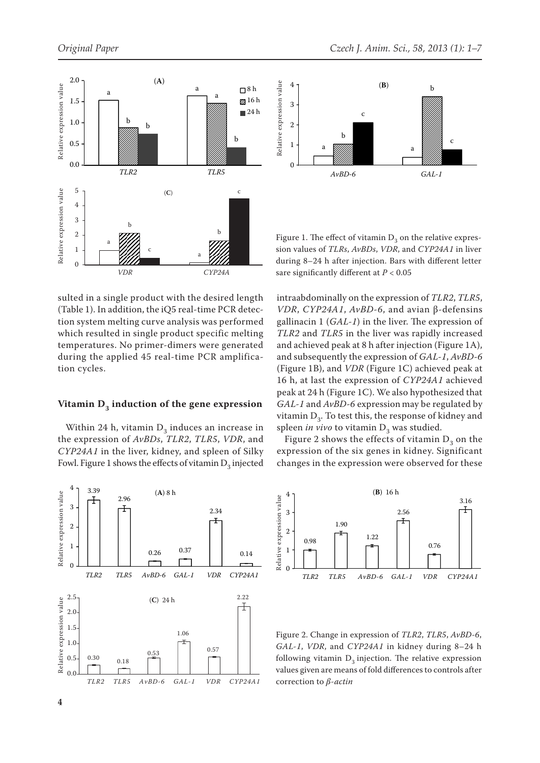



Figure 1. The effect of vitamin  $D_3$  on the relative expression values of *TLRs*, *AvBDs*, *VDR*, and *CYP24A1* in liver during 8–24 h after injection. Bars with different letter sare significantly different at *P* < 0.05

sulted in a single product with the desired length (Table 1). In addition, the iQ5 real-time PCR detection system melting curve analysis was performed which resulted in single product specific melting temperatures. No primer-dimers were generated during the applied 45 real-time PCR amplification cycles.

#### Vitamin D<sub>3</sub> induction of the gene expression

Within 24 h, vitamin  $D_3$  induces an increase in the expression of *AvBDs*, *TLR2*, *TLR5*, *VDR*, and *CYP24A1* in the liver, kidney, and spleen of Silky Fowl. Figure 1 shows the effects of vitamin  $D_3$  injected



intraabdominally on the expression of *TLR2*, *TLR5*, *VDR*, *CYP24A1*, *AvBD-6*, and avian β-defensins gallinacin 1 (*GAL-1*) in the liver. The expression of *TLR2* and *TLR5* in the liver was rapidly increased and achieved peak at 8 h after injection (Figure 1A), and subsequently the expression of *GAL-1*, *AvBD-6* (Figure 1B), and *VDR* (Figure 1C) achieved peak at 16 h, at last the expression of *CYP24A1* achieved peak at 24 h (Figure 1C). We also hypothesized that *GAL-1* and *AvBD-6* expression may be regulated by vitamin  $D_3$ . To test this, the response of kidney and spleen *in vivo* to vitamin  $D_3$  was studied.

Figure 2 shows the effects of vitamin  $D_3$  on the expression of the six genes in kidney. Significant changes in the expression were observed for these



Figure 2. Change in expression of *TLR2*, *TLR5*, *AvBD-6*, *GAL-1*, *VDR*, and *CYP24A1* in kidney during 8–24 h following vitamin  $D_3$  injection. The relative expression values given are means of fold differences to controls after correction to *β-actin*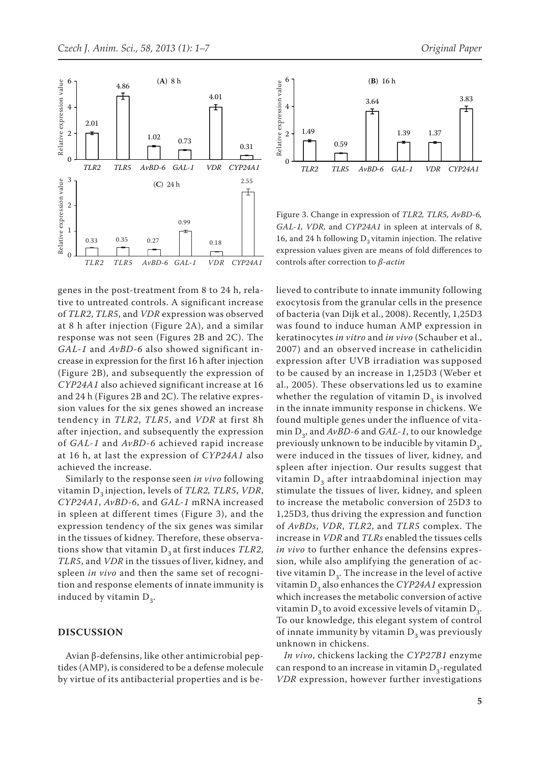

genes in the post-treatment from 8 to 24 h, relative to untreated controls. A significant increase of *TLR2*, *TLR5*, and *VDR* expression was observed at 8 h after injection (Figure 2A), and a similar response was not seen (Figures 2B and 2C). The *GAL-1* and *AvBD-6* also showed significant increase in expression for the first 16 h after injection (Figure 2B), and subsequently the expression of *CYP24A1* also achieved significant increase at 16 and 24 h (Figures 2B and 2C). The relative expression values for the six genes showed an increase tendency in *TLR2*, *TLR5*, and *VDR* at first 8h after injection, and subsequently the expression of *GAL-1* and *AvBD-6* achieved rapid increase at 16 h, at last the expression of *CYP24A1* also achieved the increase.

Similarly to the response seen *in vivo* following vitamin D<sub>2</sub> injection, levels of *TLR2*, *TLR5*, *VDR*, *CYP24A1*, *AvBD-6*, and *GAL-1* mRNA increased in spleen at different times (Figure 3), and the expression tendency of the six genes was similar in the tissues of kidney. Therefore, these observations show that vitamin  $D_3$  at first induces *TLR2*, *TLR5*, and *VDR* in the tissues of liver, kidney, and spleen *in vivo* and then the same set of recognition and response elements of innate immunity is induced by vitamin  $D_3$ .

#### **DISCUSSION**

Avian β-defensins, like other antimicrobial peptides (AMP), is considered to be a defense molecule by virtue of its antibacterial properties and is be-



Figure 3. Change in expression of *TLR2, TLR5, AvBD-6, GAL-1, VDR,* and *CYP24A1* in spleen at intervals of 8, 16, and 24 h following  $D<sub>2</sub>$  vitamin injection. The relative expression values given are means of fold differences to controls after correction to *β-actin*

lieved to contribute to innate immunity following exocytosis from the granular cells in the presence of bacteria (van Dijk et al., 2008). Recently, 1,25D3 was found to induce human AMP expression in keratinocytes *in vitro* and *in vivo* (Schauber et al., 2007) and an observed increase in cathelicidin expression after UVB irradiation was supposed to be caused by an increase in 1,25D3 (Weber et al., 2005). These observations led us to examine whether the regulation of vitamin  $D_3$  is involved in the innate immunity response in chickens. We found multiple genes under the influence of vitamin  $D_3$ , and  $AvBD-6$  and  $GAL-1$ , to our knowledge previously unknown to be inducible by vitamin  $D_3$ , were induced in the tissues of liver, kidney, and spleen after injection. Our results suggest that vitamin  $D<sub>3</sub>$  after intraabdominal injection may stimulate the tissues of liver, kidney, and spleen to increase the metabolic conversion of 25D3 to 1,25D3, thus driving the expression and function of *AvBDs*, *VDR*, *TLR2*, and *TLR5* complex. The increase in *VDR* and *TLRs* enabled the tissues cells *in vivo* to further enhance the defensins expression, while also amplifying the generation of active vitamin  $D_3$ . The increase in the level of active vitamin  $D_3$  also enhances the *CYP24A1* expression which increases the metabolic conversion of active vitamin  $D_3$  to avoid excessive levels of vitamin  $D_3$ . To our knowledge, this elegant system of control of innate immunity by vitamin  $D<sub>2</sub>$  was previously unknown in chickens.

*In vivo*, chickens lacking the *CYP27B1* enzyme can respond to an increase in vitamin  $D_3$ -regulated *VDR* expression, however further investigations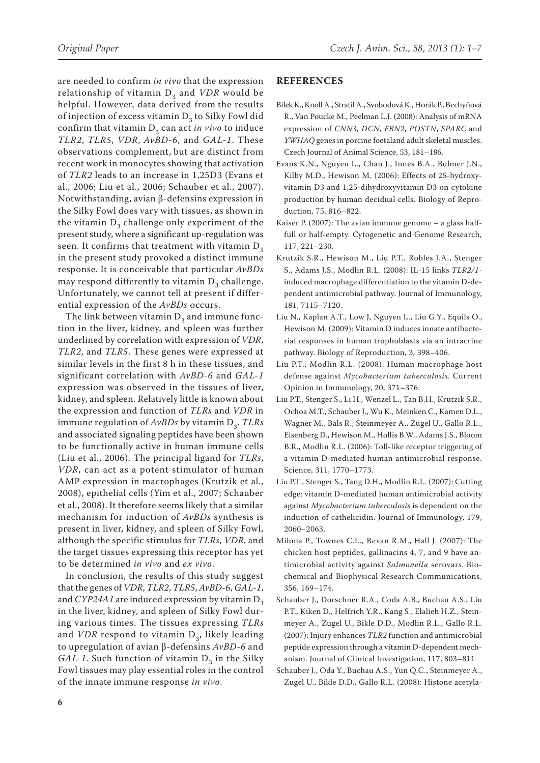are needed to confirm *in vivo* that the expression relationship of vitamin  $D_3$  and *VDR* would be helpful. However, data derived from the results of injection of excess vitamin  $D_3$  to Silky Fowl did confirm that vitamin  $D_3$  can act *in vivo* to induce *TLR2*, *TLR5*, *VDR*, *AvBD-6*, and *GAL-1*. These observations complement, but are distinct from recent work in monocytes showing that activation of *TLR2* leads to an increase in 1,25D3 (Evans et al., 2006; Liu et al., 2006; Schauber et al., 2007). Notwithstanding, avian β-defensins expression in the Silky Fowl does vary with tissues, as shown in the vitamin  $D_3$  challenge only experiment of the present study, where a significant up-regulation was seen. It confirms that treatment with vitamin  $D_3$ in the present study provoked a distinct immune response. It is conceivable that particular *AvBDs* may respond differently to vitamin  $D_3$  challenge. Unfortunately, we cannot tell at present if differential expression of the *AvBDs* occurs.

The link between vitamin  $D_3$  and immune function in the liver, kidney, and spleen was further underlined by correlation with expression of *VDR*, *TLR2*, and *TLR5*. These genes were expressed at similar levels in the first 8 h in these tissues, and significant correlation with *AvBD-6* and *GAL-1* expression was observed in the tissues of liver, kidney, and spleen. Relatively little is known about the expression and function of *TLRs* and *VDR* in immune regulation of *AvBDs* by vitamin D<sub>2</sub>. *TLRs* and associated signaling peptides have been shown to be functionally active in human immune cells (Liu et al., 2006). The principal ligand for *TLRs*, *VDR*, can act as a potent stimulator of human AMP expression in macrophages (Krutzik et al., 2008), epithelial cells (Yim et al., 2007; Schauber et al., 2008). It therefore seems likely that a similar mechanism for induction of *AvBDs* synthesis is present in liver, kidney, and spleen of Silky Fowl, although the specific stimulus for *TLRs*, *VDR*, and the target tissues expressing this receptor has yet to be determined *in vivo* and *ex vivo*.

In conclusion, the results of this study suggest that the genes of *VDR*, *TLR2*, *TLR5*, *AvBD-6*, *GAL-1*, and *CYP24A1* are induced expression by vitamin  $D<sub>2</sub>$ in the liver, kidney, and spleen of Silky Fowl during various times. The tissues expressing *TLRs* and *VDR* respond to vitamin D<sub>3</sub>, likely leading to upregulation of avian β-defensins *AvBD-6* and *GAL-1*. Such function of vitamin  $D_3$  in the Silky Fowl tissues may play essential roles in the control of the innate immune response *in vivo*.

#### **REFERENCES**

- Bílek K., Knoll A., Stratil A., Svobodová K., Horák P., Bechyňová R., Van Poucke M., Peelman L.J. (2008): Analysis of mRNA expression of *CNN3*, *DCN*, *FBN2*, *POSTN*, *SPARC* and *YWHAQ* genes in porcine foetaland adult skeletal muscles. Czech Journal of Animal Science, 53, 181–186.
- Evans K.N., Nguyen L., Chan J., Innes B.A., Bulmer J.N., Kilby M.D., Hewison M. (2006): Effects of 25-hydroxyvitamin D3 and 1,25-dihydroxyvitamin D3 on cytokine production by human decidual cells. Biology of Reproduction, 75, 816–822.
- Kaiser P. (2007): The avian immune genome a glass halffull or half-empty. Cytogenetic and Genome Research, 117, 221–230.
- Krutzik S.R., Hewison M., Liu P.T., Robles J.A., Stenger S., Adams J.S., Modlin R.L. (2008): IL-15 links *TLR2/1* induced macrophage differentiation to the vitamin D-dependent antimicrobial pathway. Journal of Immunology, 181, 7115–7120.
- Liu N., Kaplan A.T., Low J, Nguyen L., Liu G.Y., Equils O., Hewison M. (2009): Vitamin D induces innate antibacterial responses in human trophoblasts via an intracrine pathway. Biology of Reproduction, 3, 398–406.
- Liu P.T., Modlin R.L. (2008): Human macrophage host defense against *Mycobacterium tuberculosis*. Current Opinion in Immunology, 20, 371–376.
- Liu P.T., Stenger S., Li H., Wenzel L., Tan B.H., Krutzik S.R., Ochoa M.T., Schauber J., Wu K., Meinken C., Kamen D.L., Wagner M., Bals R., Steinmeyer A., Zugel U., Gallo R.L., Eisenberg D., Hewison M., Hollis B.W., Adams J.S., Bloom B.R., Modlin R.L. (2006): Toll-like receptor triggering of a vitamin D-mediated human antimicrobial response. Science, 311, 1770–1773.
- Liu P.T., Stenger S., Tang D.H., Modlin R.L. (2007): Cutting edge: vitamin D-mediated human antimicrobial activity against *Mycobacterium tuberculosis* is dependent on the induction of cathelicidin. Journal of Immunology, 179, 2060–2063.
- Milona P., Townes C.L., Bevan R.M., Hall J. (2007): The chicken host peptides, gallinacins 4, 7, and 9 have antimicrobial activity against *Salmonella* serovar*s*. Biochemical and Biophysical Research Communications, 356, 169–174.
- Schauber J., Dorschner R.A., Coda A.B., Buchau A.S., Liu P.T., Kiken D., Helfrich Y.R., Kang S., Elalieh H.Z., Steinmeyer A., Zugel U., Bikle D.D., Modlin R.L., Gallo R.L. (2007): Injury enhances *TLR2* function and antimicrobial peptide expression through a vitamin D-dependent mechanism. Journal of Clinical Investigation, 117, 803–811.
- Schauber J., Oda Y., Buchau A.S., Yun Q.C., Steinmeyer A., Zugel U., Bikle D.D., Gallo R.L. (2008): Histone acetyla-